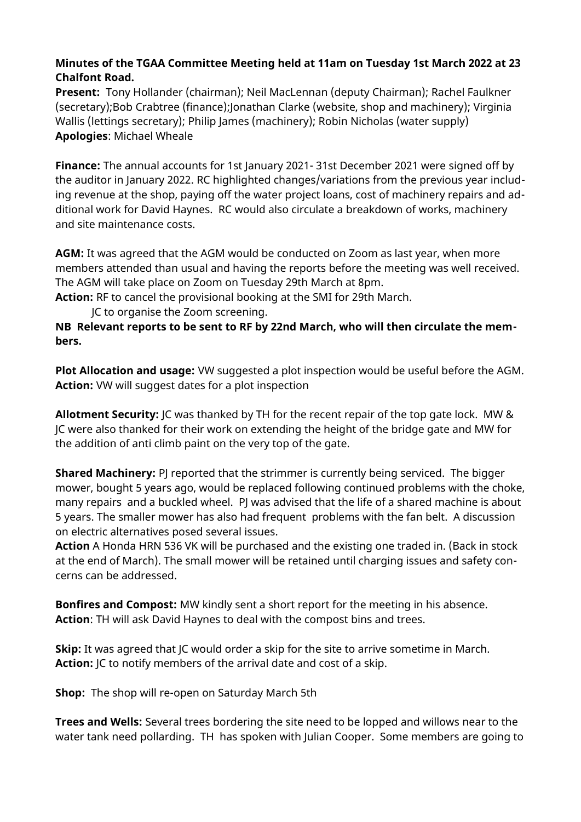## **Minutes of the TGAA Committee Meeting held at 11am on Tuesday 1st March 2022 at 23 Chalfont Road.**

**Present:** Tony Hollander (chairman); Neil MacLennan (deputy Chairman); Rachel Faulkner (secretary);Bob Crabtree (finance);Jonathan Clarke (website, shop and machinery); Virginia Wallis (lettings secretary); Philip James (machinery); Robin Nicholas (water supply) **Apologies**: Michael Wheale

**Finance:** The annual accounts for 1st January 2021- 31st December 2021 were signed off by the auditor in January 2022. RC highlighted changes/variations from the previous year including revenue at the shop, paying off the water project loans, cost of machinery repairs and additional work for David Haynes. RC would also circulate a breakdown of works, machinery and site maintenance costs.

**AGM:** It was agreed that the AGM would be conducted on Zoom as last year, when more members attended than usual and having the reports before the meeting was well received. The AGM will take place on Zoom on Tuesday 29th March at 8pm.

**Action:** RF to cancel the provisional booking at the SMI for 29th March.

JC to organise the Zoom screening.

**NB Relevant reports to be sent to RF by 22nd March, who will then circulate the members.**

**Plot Allocation and usage:** VW suggested a plot inspection would be useful before the AGM. **Action:** VW will suggest dates for a plot inspection

**Allotment Security:** JC was thanked by TH for the recent repair of the top gate lock. MW & JC were also thanked for their work on extending the height of the bridge gate and MW for the addition of anti climb paint on the very top of the gate.

**Shared Machinery:** PJ reported that the strimmer is currently being serviced. The bigger mower, bought 5 years ago, would be replaced following continued problems with the choke, many repairs and a buckled wheel. PJ was advised that the life of a shared machine is about 5 years. The smaller mower has also had frequent problems with the fan belt. A discussion on electric alternatives posed several issues.

**Action** A Honda HRN 536 VK will be purchased and the existing one traded in. (Back in stock at the end of March). The small mower will be retained until charging issues and safety concerns can be addressed.

**Bonfires and Compost:** MW kindly sent a short report for the meeting in his absence. **Action**: TH will ask David Haynes to deal with the compost bins and trees.

**Skip:** It was agreed that JC would order a skip for the site to arrive sometime in March. **Action:** JC to notify members of the arrival date and cost of a skip.

**Shop:** The shop will re-open on Saturday March 5th

**Trees and Wells:** Several trees bordering the site need to be lopped and willows near to the water tank need pollarding. TH has spoken with Julian Cooper. Some members are going to